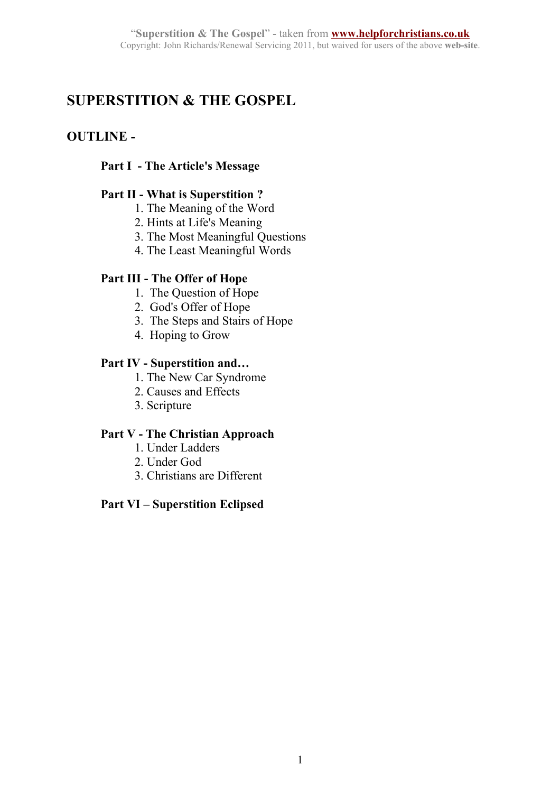# **SUPERSTITION & THE GOSPEL**

## **OUTLINE -**

### **Part I - The Article's Message**

### **Part II - What is Superstition ?**

- 1. The Meaning of the Word
- 2. Hints at Life's Meaning
- 3. The Most Meaningful Questions
- 4. The Least Meaningful Words

### **Part III - The Offer of Hope**

- 1. The Question of Hope
- 2. God's Offer of Hope
- 3. The Steps and Stairs of Hope
- 4. Hoping to Grow

### **Part IV - Superstition and…**

- 1. The New Car Syndrome
- 2. Causes and Effects
- 3. Scripture

#### **Part V - The Christian Approach**

- 1. Under Ladders
- 2. Under God
- 3. Christians are Different

### **Part VI – Superstition Eclipsed**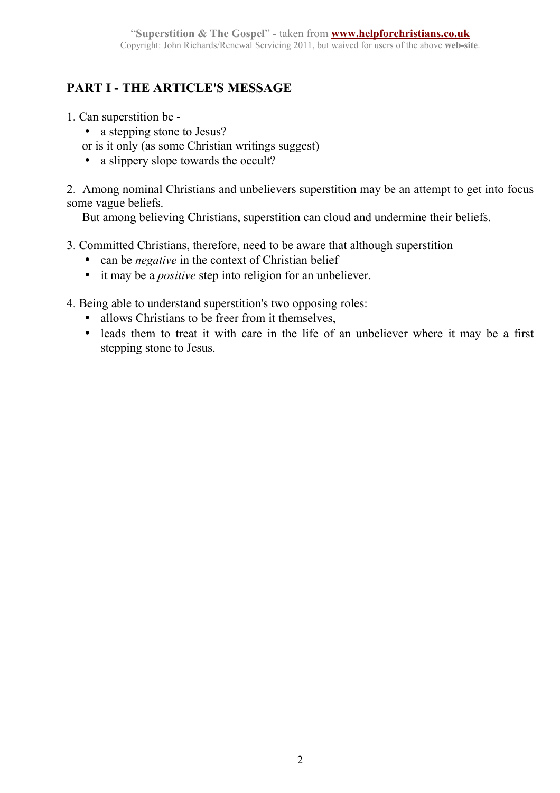# **PART I - THE ARTICLE'S MESSAGE**

1. Can superstition be -

- a stepping stone to Jesus?
- or is it only (as some Christian writings suggest)
- a slippery slope towards the occult?

2. Among nominal Christians and unbelievers superstition may be an attempt to get into focus some vague beliefs.

But among believing Christians, superstition can cloud and undermine their beliefs.

- 3. Committed Christians, therefore, need to be aware that although superstition
	- can be *negative* in the context of Christian belief
	- it may be a *positive* step into religion for an unbeliever.

4. Being able to understand superstition's two opposing roles:

- allows Christians to be freer from it themselves,
- leads them to treat it with care in the life of an unbeliever where it may be a first stepping stone to Jesus.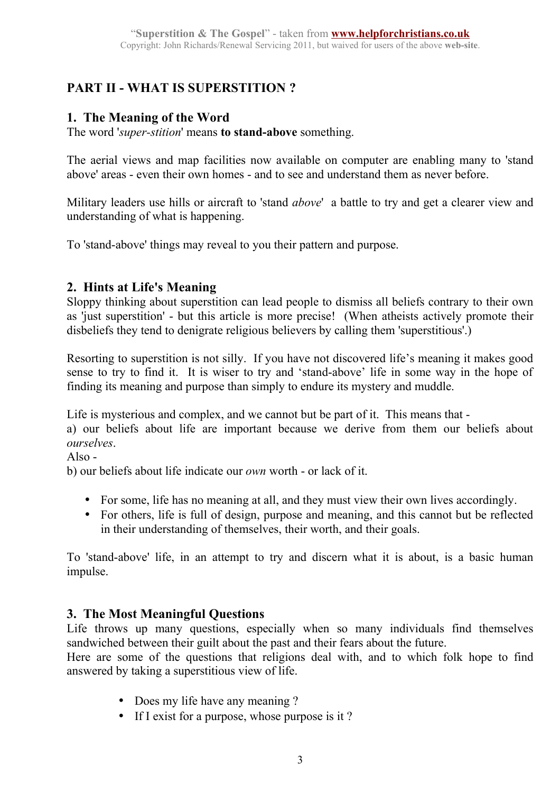# **PART II - WHAT IS SUPERSTITION ?**

### **1. The Meaning of the Word**

The word '*super-stition*' means **to stand-above** something.

The aerial views and map facilities now available on computer are enabling many to 'stand above' areas - even their own homes - and to see and understand them as never before.

Military leaders use hills or aircraft to 'stand *above*' a battle to try and get a clearer view and understanding of what is happening.

To 'stand-above' things may reveal to you their pattern and purpose.

### **2. Hints at Life's Meaning**

Sloppy thinking about superstition can lead people to dismiss all beliefs contrary to their own as 'just superstition' - but this article is more precise! (When atheists actively promote their disbeliefs they tend to denigrate religious believers by calling them 'superstitious'.)

Resorting to superstition is not silly. If you have not discovered life's meaning it makes good sense to try to find it. It is wiser to try and 'stand-above' life in some way in the hope of finding its meaning and purpose than simply to endure its mystery and muddle.

Life is mysterious and complex, and we cannot but be part of it. This means that -

a) our beliefs about life are important because we derive from them our beliefs about *ourselves*.

Also  $-$ 

b) our beliefs about life indicate our *own* worth - or lack of it.

- For some, life has no meaning at all, and they must view their own lives accordingly.
- For others, life is full of design, purpose and meaning, and this cannot but be reflected in their understanding of themselves, their worth, and their goals.

To 'stand-above' life, in an attempt to try and discern what it is about, is a basic human impulse.

### **3. The Most Meaningful Questions**

Life throws up many questions, especially when so many individuals find themselves sandwiched between their guilt about the past and their fears about the future.

Here are some of the questions that religions deal with, and to which folk hope to find answered by taking a superstitious view of life.

- Does my life have any meaning ?
- If I exist for a purpose, whose purpose is it?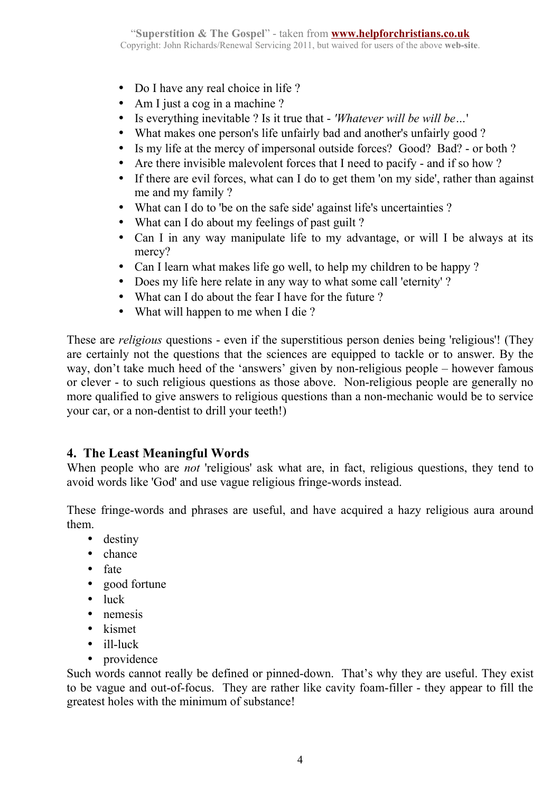- Do I have any real choice in life ?
- Am I just a cog in a machine?
- Is everything inevitable ? Is it true that *'Whatever will be will be…*'
- What makes one person's life unfairly bad and another's unfairly good?
- Is my life at the mercy of impersonal outside forces? Good? Bad? or both ?
- Are there invisible malevolent forces that I need to pacify and if so how?
- If there are evil forces, what can I do to get them 'on my side', rather than against me and my family ?
- What can I do to 'be on the safe side' against life's uncertainties ?
- What can I do about my feelings of past guilt?
- Can I in any way manipulate life to my advantage, or will I be always at its mercy?
- Can I learn what makes life go well, to help my children to be happy ?
- Does my life here relate in any way to what some call 'eternity'?
- What can I do about the fear I have for the future ?
- What will happen to me when I die?

These are *religious* questions - even if the superstitious person denies being 'religious'! (They are certainly not the questions that the sciences are equipped to tackle or to answer. By the way, don't take much heed of the 'answers' given by non-religious people – however famous or clever - to such religious questions as those above. Non-religious people are generally no more qualified to give answers to religious questions than a non-mechanic would be to service your car, or a non-dentist to drill your teeth!)

### **4. The Least Meaningful Words**

When people who are *not* 'religious' ask what are, in fact, religious questions, they tend to avoid words like 'God' and use vague religious fringe-words instead.

These fringe-words and phrases are useful, and have acquired a hazy religious aura around them.

- destiny
- chance
- fate
- good fortune
- luck
- nemesis
- kismet
- ill-luck
- providence

Such words cannot really be defined or pinned-down. That's why they are useful. They exist to be vague and out-of-focus. They are rather like cavity foam-filler - they appear to fill the greatest holes with the minimum of substance!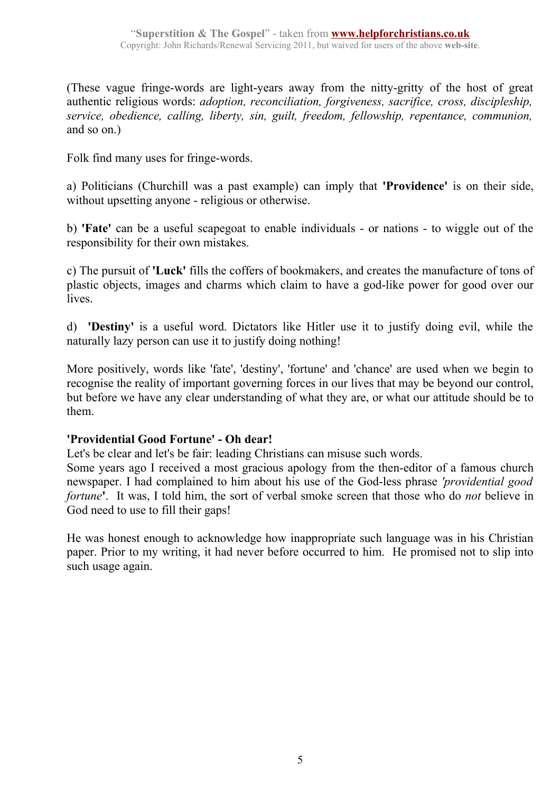(These vague fringe-words are light-years away from the nitty-gritty of the host of great authentic religious words: *adoption, reconciliation, forgiveness, sacrifice, cross, discipleship, service, obedience, calling, liberty, sin, guilt, freedom, fellowship, repentance, communion,* and so on.)

Folk find many uses for fringe-words.

a) Politicians (Churchill was a past example) can imply that **'Providence'** is on their side, without upsetting anyone - religious or otherwise.

b) **'Fate'** can be a useful scapegoat to enable individuals - or nations - to wiggle out of the responsibility for their own mistakes.

c) The pursuit of **'Luck'** fills the coffers of bookmakers, and creates the manufacture of tons of plastic objects, images and charms which claim to have a god-like power for good over our lives.

d) **'Destiny'** is a useful word. Dictators like Hitler use it to justify doing evil, while the naturally lazy person can use it to justify doing nothing!

More positively, words like 'fate', 'destiny', 'fortune' and 'chance' are used when we begin to recognise the reality of important governing forces in our lives that may be beyond our control, but before we have any clear understanding of what they are, or what our attitude should be to them.

#### **'Providential Good Fortune' - Oh dear!**

Let's be clear and let's be fair: leading Christians can misuse such words.

Some years ago I received a most gracious apology from the then-editor of a famous church newspaper. I had complained to him about his use of the God-less phrase *'providential good fortune***'**. It was, I told him, the sort of verbal smoke screen that those who do *not* believe in God need to use to fill their gaps!

He was honest enough to acknowledge how inappropriate such language was in his Christian paper. Prior to my writing, it had never before occurred to him. He promised not to slip into such usage again.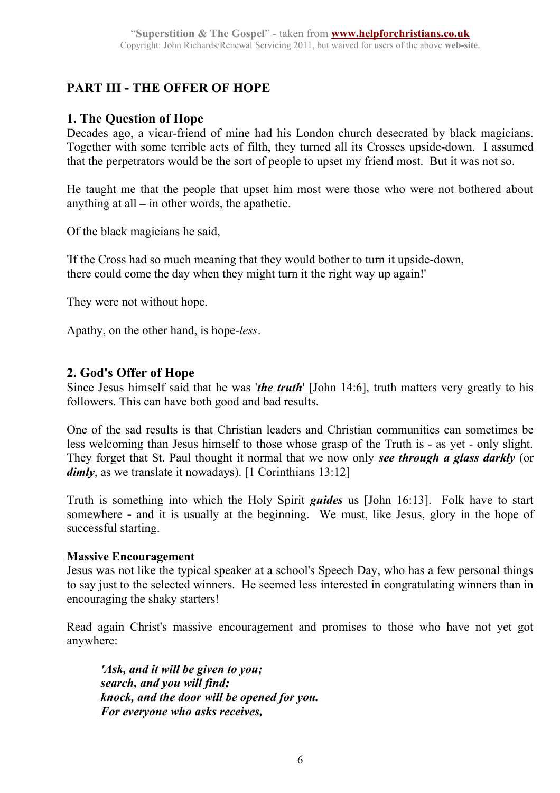# **PART III - THE OFFER OF HOPE**

### **1. The Question of Hope**

Decades ago, a vicar-friend of mine had his London church desecrated by black magicians. Together with some terrible acts of filth, they turned all its Crosses upside-down. I assumed that the perpetrators would be the sort of people to upset my friend most. But it was not so.

He taught me that the people that upset him most were those who were not bothered about anything at all  $-$  in other words, the apathetic.

Of the black magicians he said,

'If the Cross had so much meaning that they would bother to turn it upside-down, there could come the day when they might turn it the right way up again!'

They were not without hope.

Apathy, on the other hand, is hope-*less*.

### **2. God's Offer of Hope**

Since Jesus himself said that he was '*the truth*' [John 14:6], truth matters very greatly to his followers. This can have both good and bad results.

One of the sad results is that Christian leaders and Christian communities can sometimes be less welcoming than Jesus himself to those whose grasp of the Truth is - as yet - only slight. They forget that St. Paul thought it normal that we now only *see through a glass darkly* (or *dimly*, as we translate it nowadays). [1 Corinthians 13:12]

Truth is something into which the Holy Spirit *guides* us [John 16:13]. Folk have to start somewhere **-** and it is usually at the beginning.We must, like Jesus, glory in the hope of successful starting.

#### **Massive Encouragement**

Jesus was not like the typical speaker at a school's Speech Day, who has a few personal things to say just to the selected winners. He seemed less interested in congratulating winners than in encouraging the shaky starters!

Read again Christ's massive encouragement and promises to those who have not yet got anywhere:

*'Ask, and it will be given to you; search, and you will find; knock, and the door will be opened for you. For everyone who asks receives,*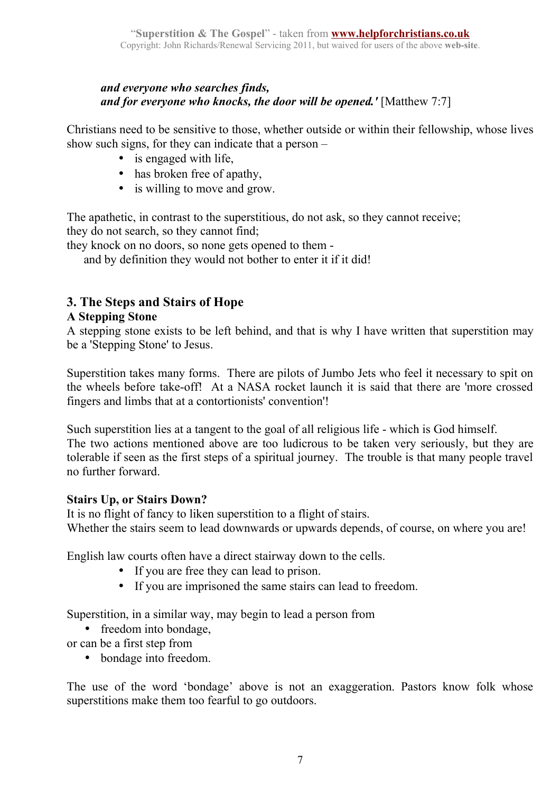### *and everyone who searches finds, and for everyone who knocks, the door will be opened.'* [Matthew 7:7]

Christians need to be sensitive to those, whether outside or within their fellowship, whose lives show such signs, for they can indicate that a person –

- is engaged with life,
- has broken free of apathy,
- is willing to move and grow.

The apathetic, in contrast to the superstitious, do not ask, so they cannot receive; they do not search, so they cannot find;

they knock on no doors, so none gets opened to them -

and by definition they would not bother to enter it if it did!

## **3. The Steps and Stairs of Hope**

### **A Stepping Stone**

A stepping stone exists to be left behind, and that is why I have written that superstition may be a 'Stepping Stone' to Jesus.

Superstition takes many forms. There are pilots of Jumbo Jets who feel it necessary to spit on the wheels before take-off! At a NASA rocket launch it is said that there are 'more crossed fingers and limbs that at a contortionists' convention'!

Such superstition lies at a tangent to the goal of all religious life - which is God himself. The two actions mentioned above are too ludicrous to be taken very seriously, but they are tolerable if seen as the first steps of a spiritual journey. The trouble is that many people travel no further forward.

### **Stairs Up, or Stairs Down?**

It is no flight of fancy to liken superstition to a flight of stairs. Whether the stairs seem to lead downwards or upwards depends, of course, on where you are!

English law courts often have a direct stairway down to the cells.

- If you are free they can lead to prison.
- If you are imprisoned the same stairs can lead to freedom.

Superstition, in a similar way, may begin to lead a person from

• freedom into bondage,

or can be a first step from

• bondage into freedom.

The use of the word 'bondage' above is not an exaggeration. Pastors know folk whose superstitions make them too fearful to go outdoors.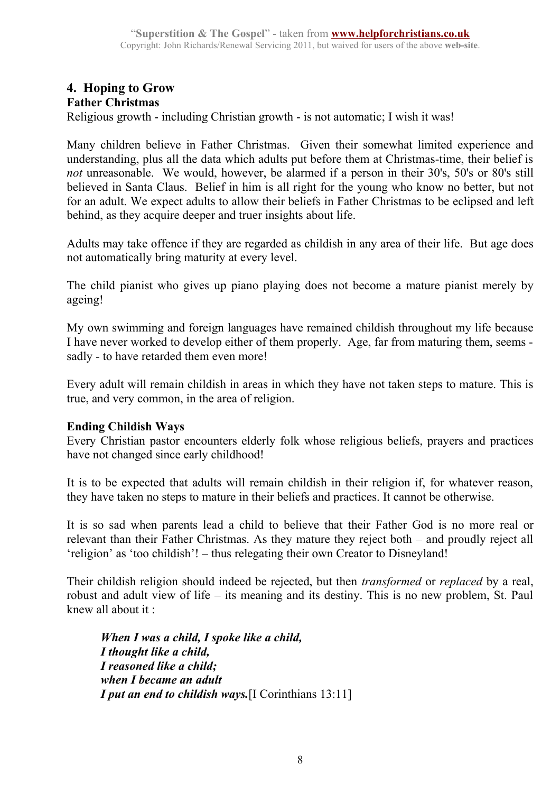# **4. Hoping to Grow**

#### **Father Christmas**

Religious growth - including Christian growth - is not automatic; I wish it was!

Many children believe in Father Christmas. Given their somewhat limited experience and understanding, plus all the data which adults put before them at Christmas-time, their belief is *not* unreasonable. We would, however, be alarmed if a person in their 30's, 50's or 80's still believed in Santa Claus. Belief in him is all right for the young who know no better, but not for an adult. We expect adults to allow their beliefs in Father Christmas to be eclipsed and left behind, as they acquire deeper and truer insights about life.

Adults may take offence if they are regarded as childish in any area of their life. But age does not automatically bring maturity at every level.

The child pianist who gives up piano playing does not become a mature pianist merely by ageing!

My own swimming and foreign languages have remained childish throughout my life because I have never worked to develop either of them properly. Age, far from maturing them, seems sadly - to have retarded them even more!

Every adult will remain childish in areas in which they have not taken steps to mature. This is true, and very common, in the area of religion.

#### **Ending Childish Ways**

Every Christian pastor encounters elderly folk whose religious beliefs, prayers and practices have not changed since early childhood!

It is to be expected that adults will remain childish in their religion if, for whatever reason, they have taken no steps to mature in their beliefs and practices. It cannot be otherwise.

It is so sad when parents lead a child to believe that their Father God is no more real or relevant than their Father Christmas. As they mature they reject both – and proudly reject all 'religion' as 'too childish'! – thus relegating their own Creator to Disneyland!

Their childish religion should indeed be rejected, but then *transformed* or *replaced* by a real, robust and adult view of life – its meaning and its destiny. This is no new problem, St. Paul knew all about it :

*When I was a child, I spoke like a child, I thought like a child, I reasoned like a child; when I became an adult I put an end to childish ways.*[I Corinthians 13:11]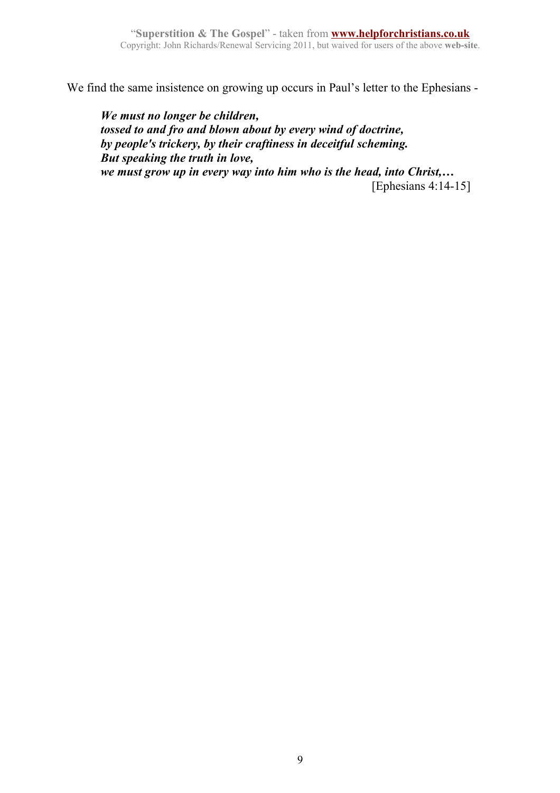We find the same insistence on growing up occurs in Paul's letter to the Ephesians -

*We must no longer be children, tossed to and fro and blown about by every wind of doctrine, by people's trickery, by their craftiness in deceitful scheming. But speaking the truth in love, we must grow up in every way into him who is the head, into Christ,…* [Ephesians 4:14-15]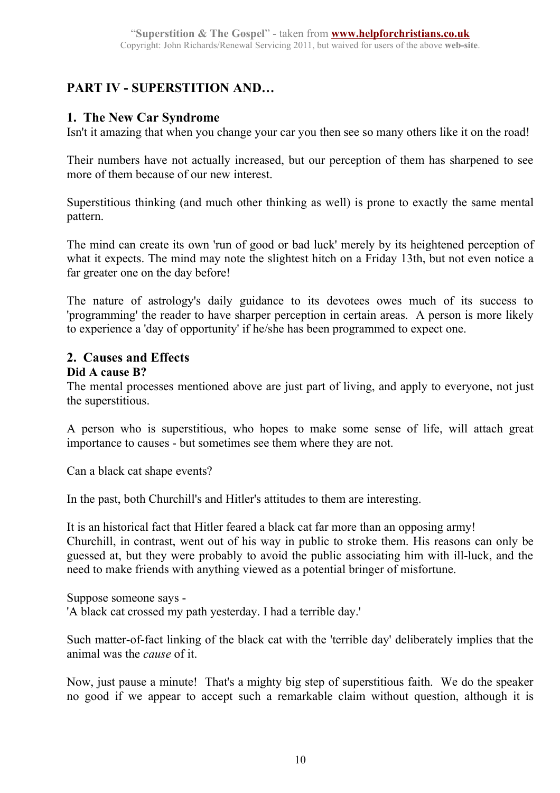# **PART IV - SUPERSTITION AND…**

#### **1. The New Car Syndrome**

Isn't it amazing that when you change your car you then see so many others like it on the road!

Their numbers have not actually increased, but our perception of them has sharpened to see more of them because of our new interest.

Superstitious thinking (and much other thinking as well) is prone to exactly the same mental pattern.

The mind can create its own 'run of good or bad luck' merely by its heightened perception of what it expects. The mind may note the slightest hitch on a Friday 13th, but not even notice a far greater one on the day before!

The nature of astrology's daily guidance to its devotees owes much of its success to 'programming' the reader to have sharper perception in certain areas. A person is more likely to experience a 'day of opportunity' if he/she has been programmed to expect one.

#### **2. Causes and Effects Did A cause B?**

The mental processes mentioned above are just part of living, and apply to everyone, not just the superstitious.

A person who is superstitious, who hopes to make some sense of life, will attach great importance to causes - but sometimes see them where they are not.

Can a black cat shape events?

In the past, both Churchill's and Hitler's attitudes to them are interesting.

It is an historical fact that Hitler feared a black cat far more than an opposing army! Churchill, in contrast, went out of his way in public to stroke them. His reasons can only be guessed at, but they were probably to avoid the public associating him with ill-luck, and the need to make friends with anything viewed as a potential bringer of misfortune.

Suppose someone says - 'A black cat crossed my path yesterday. I had a terrible day.'

Such matter-of-fact linking of the black cat with the 'terrible day' deliberately implies that the animal was the *cause* of it.

Now, just pause a minute! That's a mighty big step of superstitious faith. We do the speaker no good if we appear to accept such a remarkable claim without question, although it is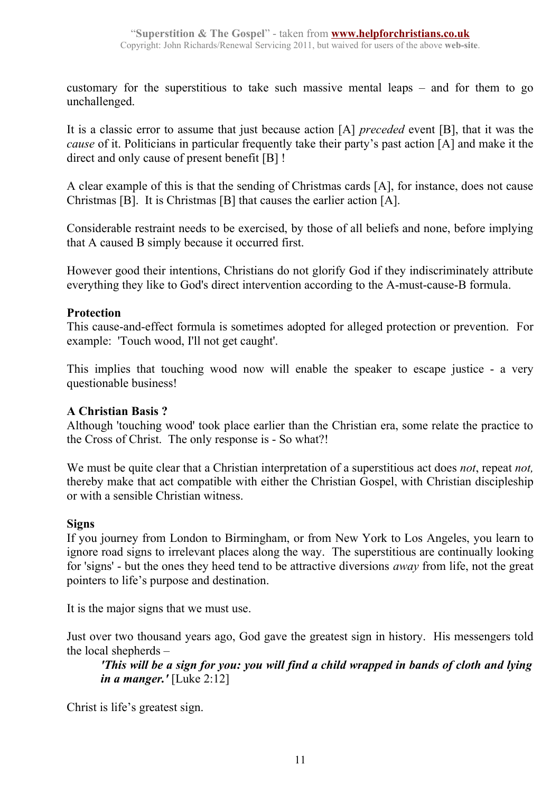customary for the superstitious to take such massive mental leaps – and for them to go unchallenged.

It is a classic error to assume that just because action [A] *preceded* event [B], that it was the *cause* of it. Politicians in particular frequently take their party's past action [A] and make it the direct and only cause of present benefit [B] !

A clear example of this is that the sending of Christmas cards [A], for instance, does not cause Christmas [B]. It is Christmas [B] that causes the earlier action [A].

Considerable restraint needs to be exercised, by those of all beliefs and none, before implying that A caused B simply because it occurred first.

However good their intentions, Christians do not glorify God if they indiscriminately attribute everything they like to God's direct intervention according to the A-must-cause-B formula.

#### **Protection**

This cause-and-effect formula is sometimes adopted for alleged protection or prevention. For example: 'Touch wood, I'll not get caught'.

This implies that touching wood now will enable the speaker to escape justice - a very questionable business!

### **A Christian Basis ?**

Although 'touching wood' took place earlier than the Christian era, some relate the practice to the Cross of Christ. The only response is - So what?!

We must be quite clear that a Christian interpretation of a superstitious act does *not*, repeat *not,* thereby make that act compatible with either the Christian Gospel, with Christian discipleship or with a sensible Christian witness.

#### **Signs**

If you journey from London to Birmingham, or from New York to Los Angeles, you learn to ignore road signs to irrelevant places along the way. The superstitious are continually looking for 'signs' - but the ones they heed tend to be attractive diversions *away* from life, not the great pointers to life's purpose and destination.

It is the major signs that we must use.

Just over two thousand years ago, God gave the greatest sign in history. His messengers told the local shepherds –

*'This will be a sign for you: you will find a child wrapped in bands of cloth and lying in a manger.'* [Luke 2:12]

Christ is life's greatest sign.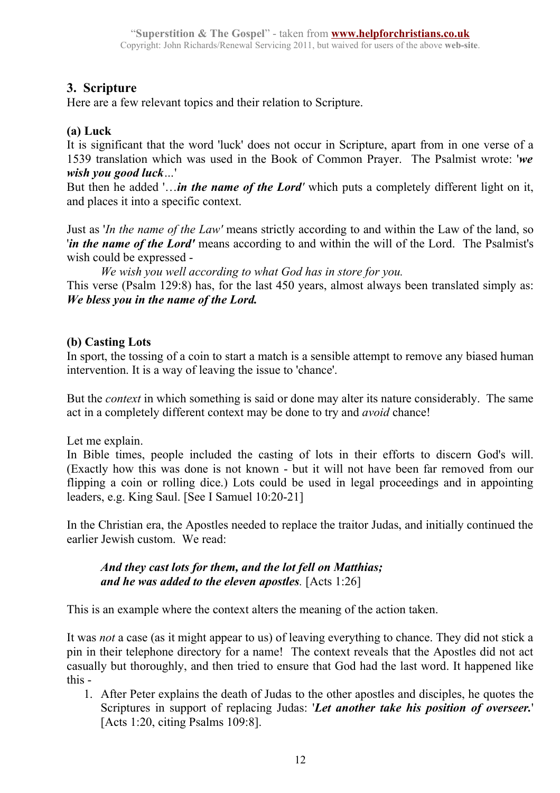### **3. Scripture**

Here are a few relevant topics and their relation to Scripture.

### **(a) Luck**

It is significant that the word 'luck' does not occur in Scripture, apart from in one verse of a 1539 translation which was used in the Book of Common Prayer. The Psalmist wrote: '*we wish you good luck…*'

But then he added '…*in the name of the Lord'* which puts a completely different light on it, and places it into a specific context.

Just as '*In the name of the Law'* means strictly according to and within the Law of the land, so '*in the name of the Lord'* means according to and within the will of the Lord. The Psalmist's wish could be expressed -

*We wish you well according to what God has in store for you.*

This verse (Psalm 129:8) has, for the last 450 years, almost always been translated simply as: *We bless you in the name of the Lord.*

### **(b) Casting Lots**

In sport, the tossing of a coin to start a match is a sensible attempt to remove any biased human intervention. It is a way of leaving the issue to 'chance'.

But the *context* in which something is said or done may alter its nature considerably. The same act in a completely different context may be done to try and *avoid* chance!

Let me explain.

In Bible times, people included the casting of lots in their efforts to discern God's will. (Exactly how this was done is not known - but it will not have been far removed from our flipping a coin or rolling dice.) Lots could be used in legal proceedings and in appointing leaders, e.g. King Saul. [See I Samuel 10:20-21]

In the Christian era, the Apostles needed to replace the traitor Judas, and initially continued the earlier Jewish custom. We read:

*And they cast lots for them, and the lot fell on Matthias; and he was added to the eleven apostles.* [Acts 1:26]

This is an example where the context alters the meaning of the action taken.

It was *not* a case (as it might appear to us) of leaving everything to chance. They did not stick a pin in their telephone directory for a name! The context reveals that the Apostles did not act casually but thoroughly, and then tried to ensure that God had the last word. It happened like this -

1. After Peter explains the death of Judas to the other apostles and disciples, he quotes the Scriptures in support of replacing Judas: '*Let another take his position of overseer.*' [Acts 1:20, citing Psalms 109:8].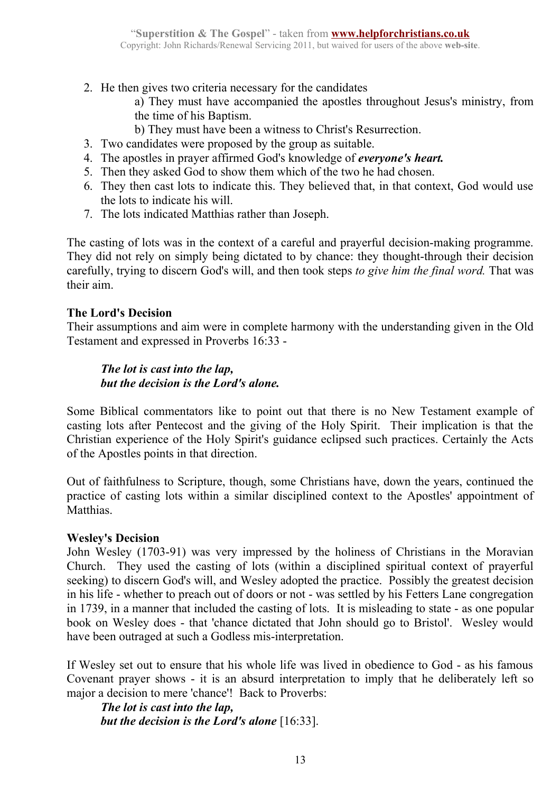- 2. He then gives two criteria necessary for the candidates
	- a) They must have accompanied the apostles throughout Jesus's ministry, from the time of his Baptism.

b) They must have been a witness to Christ's Resurrection.

- 3. Two candidates were proposed by the group as suitable.
- 4. The apostles in prayer affirmed God's knowledge of *everyone's heart.*
- 5. Then they asked God to show them which of the two he had chosen.
- 6. They then cast lots to indicate this. They believed that, in that context, God would use the lots to indicate his will.
- 7. The lots indicated Matthias rather than Joseph.

The casting of lots was in the context of a careful and prayerful decision-making programme. They did not rely on simply being dictated to by chance: they thought-through their decision carefully, trying to discern God's will, and then took steps *to give him the final word.* That was their aim.

#### **The Lord's Decision**

Their assumptions and aim were in complete harmony with the understanding given in the Old Testament and expressed in Proverbs 16:33 -

#### *The lot is cast into the lap, but the decision is the Lord's alone.*

Some Biblical commentators like to point out that there is no New Testament example of casting lots after Pentecost and the giving of the Holy Spirit. Their implication is that the Christian experience of the Holy Spirit's guidance eclipsed such practices. Certainly the Acts of the Apostles points in that direction.

Out of faithfulness to Scripture, though, some Christians have, down the years, continued the practice of casting lots within a similar disciplined context to the Apostles' appointment of Matthias.

#### **Wesley's Decision**

John Wesley (1703-91) was very impressed by the holiness of Christians in the Moravian Church. They used the casting of lots (within a disciplined spiritual context of prayerful seeking) to discern God's will, and Wesley adopted the practice. Possibly the greatest decision in his life - whether to preach out of doors or not - was settled by his Fetters Lane congregation in 1739, in a manner that included the casting of lots. It is misleading to state - as one popular book on Wesley does - that 'chance dictated that John should go to Bristol'. Wesley would have been outraged at such a Godless mis-interpretation.

If Wesley set out to ensure that his whole life was lived in obedience to God - as his famous Covenant prayer shows - it is an absurd interpretation to imply that he deliberately left so major a decision to mere 'chance'! Back to Proverbs:

*The lot is cast into the lap, but the decision is the Lord's alone* [16:33].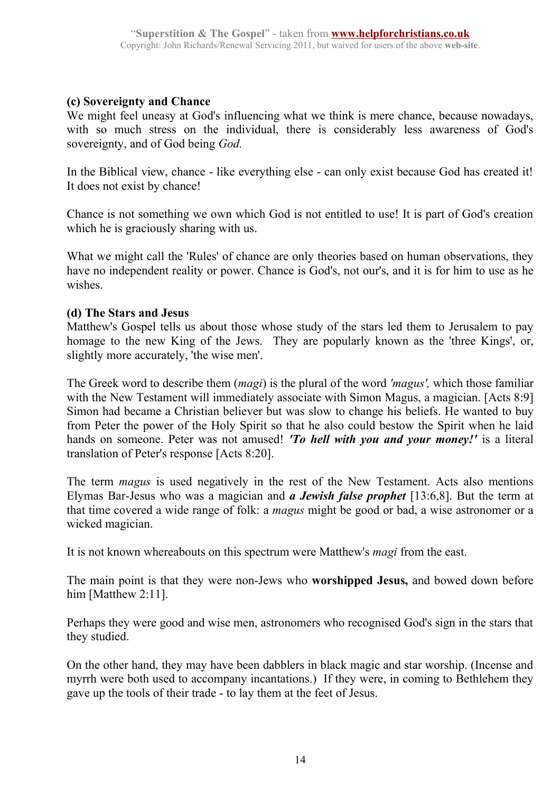#### **(c) Sovereignty and Chance**

We might feel uneasy at God's influencing what we think is mere chance, because nowadays, with so much stress on the individual, there is considerably less awareness of God's sovereignty, and of God being *God.* 

In the Biblical view, chance - like everything else - can only exist because God has created it! It does not exist by chance!

Chance is not something we own which God is not entitled to use! It is part of God's creation which he is graciously sharing with us.

What we might call the 'Rules' of chance are only theories based on human observations, they have no independent reality or power. Chance is God's, not our's, and it is for him to use as he wishes

#### **(d) The Stars and Jesus**

Matthew's Gospel tells us about those whose study of the stars led them to Jerusalem to pay homage to the new King of the Jews. They are popularly known as the 'three Kings', or, slightly more accurately, 'the wise men'.

The Greek word to describe them (*magi*) is the plural of the word *'magus',* which those familiar with the New Testament will immediately associate with Simon Magus, a magician. [Acts 8:9] Simon had became a Christian believer but was slow to change his beliefs. He wanted to buy from Peter the power of the Holy Spirit so that he also could bestow the Spirit when he laid hands on someone. Peter was not amused! *'To hell with you and your money!'* is a literal translation of Peter's response [Acts 8:20].

The term *magus* is used negatively in the rest of the New Testament. Acts also mentions Elymas Bar-Jesus who was a magician and *a Jewish false prophet* [13:6,8]. But the term at that time covered a wide range of folk: a *magus* might be good or bad, a wise astronomer or a wicked magician.

It is not known whereabouts on this spectrum were Matthew's *magi* from the east.

The main point is that they were non-Jews who **worshipped Jesus,** and bowed down before him [Matthew 2:11].

Perhaps they were good and wise men, astronomers who recognised God's sign in the stars that they studied.

On the other hand, they may have been dabblers in black magic and star worship. (Incense and myrrh were both used to accompany incantations.) If they were, in coming to Bethlehem they gave up the tools of their trade - to lay them at the feet of Jesus.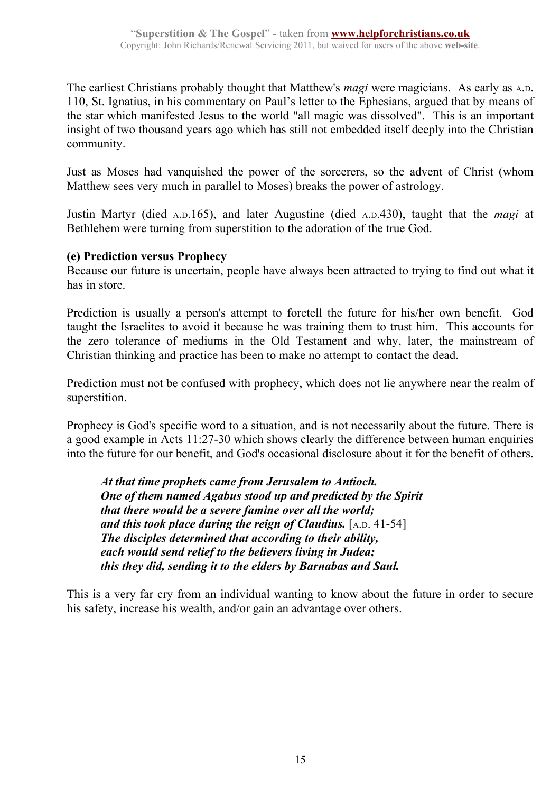The earliest Christians probably thought that Matthew's *magi* were magicians. As early as A.D. 110, St. Ignatius, in his commentary on Paul's letter to the Ephesians, argued that by means of the star which manifested Jesus to the world "all magic was dissolved". This is an important insight of two thousand years ago which has still not embedded itself deeply into the Christian community.

Just as Moses had vanquished the power of the sorcerers, so the advent of Christ (whom Matthew sees very much in parallel to Moses) breaks the power of astrology.

Justin Martyr (died A.D.165), and later Augustine (died A.D.430), taught that the *magi* at Bethlehem were turning from superstition to the adoration of the true God.

#### **(e) Prediction versus Prophecy**

Because our future is uncertain, people have always been attracted to trying to find out what it has in store.

Prediction is usually a person's attempt to foretell the future for his/her own benefit. God taught the Israelites to avoid it because he was training them to trust him. This accounts for the zero tolerance of mediums in the Old Testament and why, later, the mainstream of Christian thinking and practice has been to make no attempt to contact the dead.

Prediction must not be confused with prophecy, which does not lie anywhere near the realm of superstition.

Prophecy is God's specific word to a situation, and is not necessarily about the future. There is a good example in Acts 11:27-30 which shows clearly the difference between human enquiries into the future for our benefit, and God's occasional disclosure about it for the benefit of others.

*At that time prophets came from Jerusalem to Antioch. One of them named Agabus stood up and predicted by the Spirit that there would be a severe famine over all the world;*  and this took place during the reign of Claudius. [A.D. 41-54] *The disciples determined that according to their ability, each would send relief to the believers living in Judea; this they did, sending it to the elders by Barnabas and Saul.*

This is a very far cry from an individual wanting to know about the future in order to secure his safety, increase his wealth, and/or gain an advantage over others.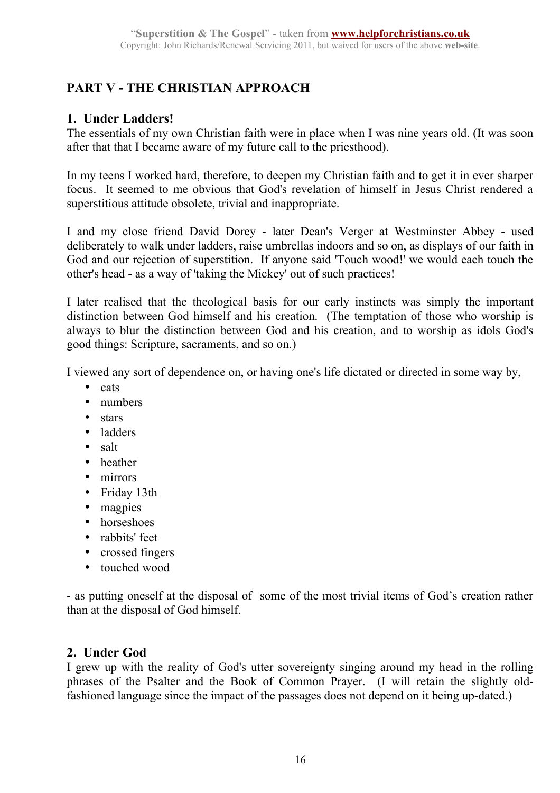# **PART V - THE CHRISTIAN APPROACH**

### **1. Under Ladders!**

The essentials of my own Christian faith were in place when I was nine years old. (It was soon after that that I became aware of my future call to the priesthood).

In my teens I worked hard, therefore, to deepen my Christian faith and to get it in ever sharper focus. It seemed to me obvious that God's revelation of himself in Jesus Christ rendered a superstitious attitude obsolete, trivial and inappropriate.

I and my close friend David Dorey - later Dean's Verger at Westminster Abbey - used deliberately to walk under ladders, raise umbrellas indoors and so on, as displays of our faith in God and our rejection of superstition. If anyone said 'Touch wood!' we would each touch the other's head - as a way of 'taking the Mickey' out of such practices!

I later realised that the theological basis for our early instincts was simply the important distinction between God himself and his creation. (The temptation of those who worship is always to blur the distinction between God and his creation, and to worship as idols God's good things: Scripture, sacraments, and so on.)

I viewed any sort of dependence on, or having one's life dictated or directed in some way by,

- cats
- numbers
- stars
- ladders
- salt
- heather
- mirrors
- Friday 13th
- magpies
- horseshoes
- rabbits' feet
- crossed fingers
- touched wood

- as putting oneself at the disposal of some of the most trivial items of God's creation rather than at the disposal of God himself.

### **2. Under God**

I grew up with the reality of God's utter sovereignty singing around my head in the rolling phrases of the Psalter and the Book of Common Prayer. (I will retain the slightly oldfashioned language since the impact of the passages does not depend on it being up-dated.)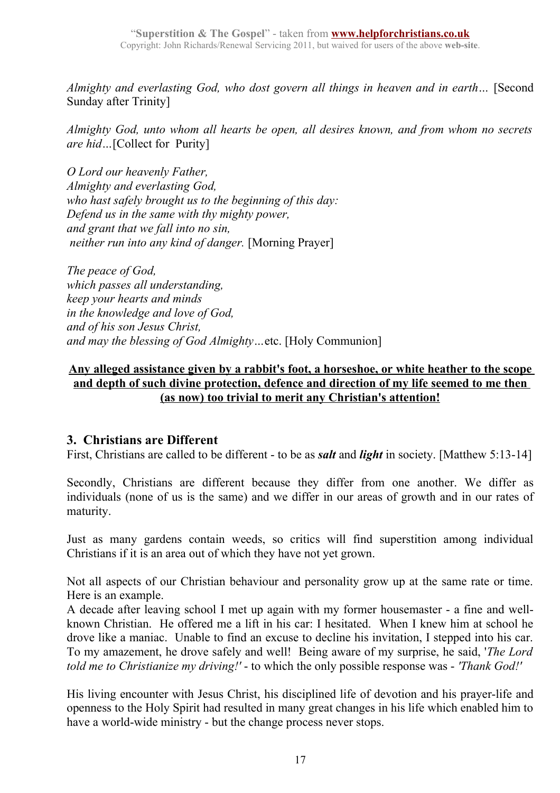*Almighty and everlasting God, who dost govern all things in heaven and in earth…* [Second Sunday after Trinity]

*Almighty God, unto whom all hearts be open, all desires known, and from whom no secrets are hid…*[Collect for Purity]

*O Lord our heavenly Father, Almighty and everlasting God, who hast safely brought us to the beginning of this day: Defend us in the same with thy mighty power, and grant that we fall into no sin, neither run into any kind of danger.* [Morning Prayer]

*The peace of God, which passes all understanding, keep your hearts and minds in the knowledge and love of God, and of his son Jesus Christ, and may the blessing of God Almighty…*etc. [Holy Communion]

#### **Any alleged assistance given by a rabbit's foot, a horseshoe, or white heather to the scope and depth of such divine protection, defence and direction of my life seemed to me then (as now) too trivial to merit any Christian's attention!**

### **3. Christians are Different**

First, Christians are called to be different - to be as *salt* and *light* in society. [Matthew 5:13-14]

Secondly, Christians are different because they differ from one another. We differ as individuals (none of us is the same) and we differ in our areas of growth and in our rates of maturity.

Just as many gardens contain weeds, so critics will find superstition among individual Christians if it is an area out of which they have not yet grown.

Not all aspects of our Christian behaviour and personality grow up at the same rate or time. Here is an example.

A decade after leaving school I met up again with my former housemaster - a fine and wellknown Christian. He offered me a lift in his car: I hesitated. When I knew him at school he drove like a maniac. Unable to find an excuse to decline his invitation, I stepped into his car. To my amazement, he drove safely and well! Being aware of my surprise, he said, '*The Lord told me to Christianize my driving!'* - to which the only possible response was - *'Thank God!'* 

His living encounter with Jesus Christ, his disciplined life of devotion and his prayer-life and openness to the Holy Spirit had resulted in many great changes in his life which enabled him to have a world-wide ministry - but the change process never stops.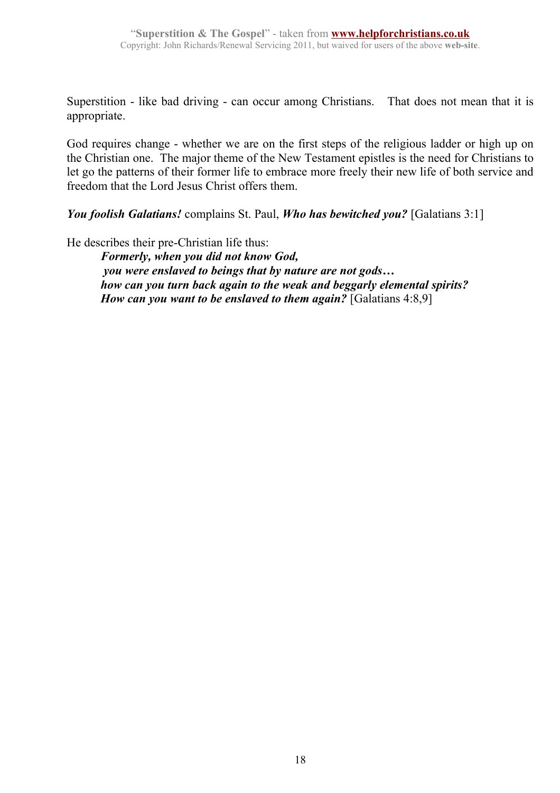Superstition - like bad driving - can occur among Christians. That does not mean that it is appropriate.

God requires change - whether we are on the first steps of the religious ladder or high up on the Christian one. The major theme of the New Testament epistles is the need for Christians to let go the patterns of their former life to embrace more freely their new life of both service and freedom that the Lord Jesus Christ offers them.

*You foolish Galatians!* complains St. Paul, *Who has bewitched you?* [Galatians 3:1]

He describes their pre-Christian life thus:

*Formerly, when you did not know God, you were enslaved to beings that by nature are not gods… how can you turn back again to the weak and beggarly elemental spirits? How can you want to be enslaved to them again?* [Galatians 4:8,9]